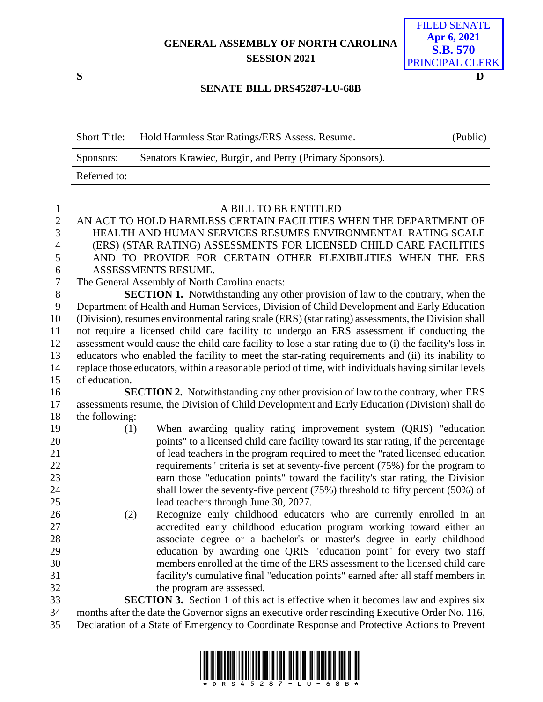**GENERAL ASSEMBLY OF NORTH CAROLINA SESSION 2021**



## **SENATE BILL DRS45287-LU-68B**

| <b>Short Title:</b> | Hold Harmless Star Ratings/ERS Assess. Resume.          | (Public) |
|---------------------|---------------------------------------------------------|----------|
| Sponsors:           | Senators Krawiec, Burgin, and Perry (Primary Sponsors). |          |
| Referred to:        |                                                         |          |

| $\mathbf{1}$   | A BILL TO BE ENTITLED                                                                                  |  |  |
|----------------|--------------------------------------------------------------------------------------------------------|--|--|
| $\sqrt{2}$     | AN ACT TO HOLD HARMLESS CERTAIN FACILITIES WHEN THE DEPARTMENT OF                                      |  |  |
| 3              | HEALTH AND HUMAN SERVICES RESUMES ENVIRONMENTAL RATING SCALE                                           |  |  |
| $\overline{4}$ | (ERS) (STAR RATING) ASSESSMENTS FOR LICENSED CHILD CARE FACILITIES                                     |  |  |
| 5              | AND TO PROVIDE FOR CERTAIN OTHER FLEXIBILITIES WHEN THE ERS                                            |  |  |
| 6              | ASSESSMENTS RESUME.                                                                                    |  |  |
| $\tau$         | The General Assembly of North Carolina enacts:                                                         |  |  |
| $\, 8$         | <b>SECTION 1.</b> Notwithstanding any other provision of law to the contrary, when the                 |  |  |
| 9              | Department of Health and Human Services, Division of Child Development and Early Education             |  |  |
| 10             | (Division), resumes environmental rating scale (ERS) (star rating) assessments, the Division shall     |  |  |
| 11             | not require a licensed child care facility to undergo an ERS assessment if conducting the              |  |  |
| 12             | assessment would cause the child care facility to lose a star rating due to (i) the facility's loss in |  |  |
| 13             | educators who enabled the facility to meet the star-rating requirements and (ii) its inability to      |  |  |
| 14             | replace those educators, within a reasonable period of time, with individuals having similar levels    |  |  |
| 15             | of education.                                                                                          |  |  |
| 16             | <b>SECTION 2.</b> Notwithstanding any other provision of law to the contrary, when ERS                 |  |  |
| 17             | assessments resume, the Division of Child Development and Early Education (Division) shall do          |  |  |
| 18             | the following:                                                                                         |  |  |
| 19             | When awarding quality rating improvement system (QRIS) "education<br>(1)                               |  |  |
| 20             | points" to a licensed child care facility toward its star rating, if the percentage                    |  |  |
| 21             | of lead teachers in the program required to meet the "rated licensed education                         |  |  |
| 22             | requirements" criteria is set at seventy-five percent (75%) for the program to                         |  |  |
| 23             | earn those "education points" toward the facility's star rating, the Division                          |  |  |
| 24             | shall lower the seventy-five percent (75%) threshold to fifty percent (50%) of                         |  |  |
| 25             | lead teachers through June 30, 2027.                                                                   |  |  |
| 26             | Recognize early childhood educators who are currently enrolled in an<br>(2)                            |  |  |
| 27             | accredited early childhood education program working toward either an                                  |  |  |
| 28             | associate degree or a bachelor's or master's degree in early childhood                                 |  |  |
| 29             | education by awarding one QRIS "education point" for every two staff                                   |  |  |
| 30             | members enrolled at the time of the ERS assessment to the licensed child care                          |  |  |
| 31             | facility's cumulative final "education points" earned after all staff members in                       |  |  |
| 32             | the program are assessed.                                                                              |  |  |
| 33             | <b>SECTION 3.</b> Section 1 of this act is effective when it becomes law and expires six               |  |  |
| 34             | months after the date the Governor signs an executive order rescinding Executive Order No. 116,        |  |  |
| 35             | Declaration of a State of Emergency to Coordinate Response and Protective Actions to Prevent           |  |  |